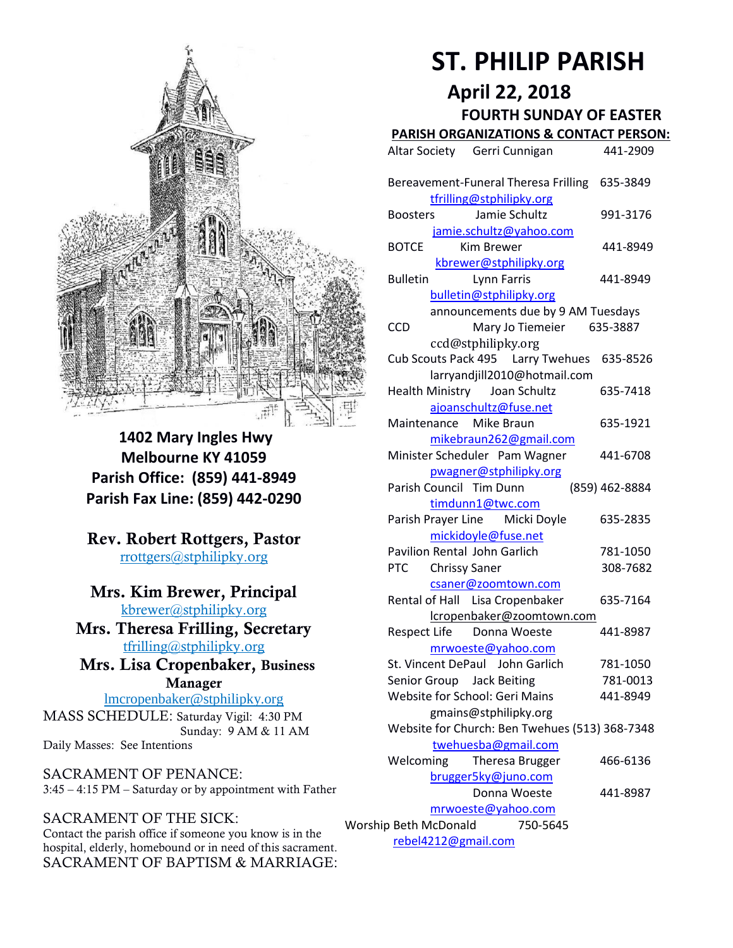

**1402 Mary Ingles Hwy Melbourne KY 41059 Parish Office: (859) 441-8949 Parish Fax Line: (859) 442-0290**

**Rev. Robert Rottgers, Pastor**  [rrottgers@stphilipky.org](mailto:rrottgers@stphilipky.org)

## **Mrs. Kim Brewer, Principal**

[kbrewer@stphilipky.org](mailto:kbrewer@stphilipky.org) **Mrs. Theresa Frilling, Secretary**  [tfrilling@stphilipky.org](mailto:tfrilling@stphilipky.org)

 **Mrs. Lisa Cropenbaker, Business Manager** 

lmcropenbaker@stphilipky.org MASS SCHEDULE: Saturday Vigil: 4:30 PM Sunday: 9 AM & 11 AM Daily Masses: See Intentions

SACRAMENT OF PENANCE: 3:45 – 4:15 PM – Saturday or by appointment with Father

#### SACRAMENT OF THE SICK:

Contact the parish office if someone you know is in the hospital, elderly, homebound or in need of this sacrament. SACRAMENT OF BAPTISM & MARRIAGE:

# **ST. PHILIP PARISH**

**April 22, 2018**

 **FOURTH SUNDAY OF EASTER** 

## **PARISH ORGANIZATIONS & CONTACT PERSON:**

|                                                          | Altar Society Gerri Cunnigan                                              | 441-2909             |
|----------------------------------------------------------|---------------------------------------------------------------------------|----------------------|
|                                                          | Bereavement-Funeral Theresa Frilling<br>tfrilling@stphilipky.org          | 635-3849             |
|                                                          | Jamie Schultz<br><b>Boosters</b><br>jamie.schultz@yahoo.com               | 991-3176             |
|                                                          | <b>BOTCE</b><br>Kim Brewer<br>kbrewer@stphilipky.org                      | 441-8949             |
|                                                          | <b>Bulletin</b><br>Lynn Farris<br>bulletin@stphilipky.org                 | 441-8949             |
|                                                          | announcements due by 9 AM Tuesdays<br>CCD<br>Mary Jo Tiemeier             | 635-3887             |
|                                                          | ccd@stphilipky.org<br>Cub Scouts Pack 495   Larry Twehues                 | 635-8526             |
|                                                          | larryandjill2010@hotmail.com<br>Health Ministry Joan Schultz              | 635-7418             |
|                                                          | ajoanschultz@fuse.net                                                     |                      |
|                                                          | Mike Braun<br>Maintenance<br>mikebraun262@gmail.com                       | 635-1921             |
|                                                          | Minister Scheduler Pam Wagner<br>pwagner@stphilipky.org                   | 441-6708             |
|                                                          | Parish Council Tim Dunn<br>timdunn1@twc.com                               | (859) 462-8884       |
|                                                          | Parish Prayer Line Micki Doyle<br>mickidoyle@fuse.net                     | 635-2835             |
|                                                          | <b>Pavilion Rental John Garlich</b><br><b>Chrissy Saner</b><br><b>PTC</b> | 781-1050<br>308-7682 |
|                                                          | csaner@zoomtown.com<br>Rental of Hall Lisa Cropenbaker                    | 635-7164             |
|                                                          | lcropenbaker@zoomtown.com<br>Respect Life Donna Woeste                    | 441-8987             |
|                                                          | mrwoeste@yahoo.com<br>St. Vincent DePaul John Garlich                     | 781-1050             |
|                                                          | Senior Group<br><b>Jack Beiting</b><br>Website for School: Geri Mains     | 781-0013<br>441-8949 |
|                                                          | gmains@stphilipky.org<br>Website for Church: Ben Twehues (513) 368-7348   |                      |
|                                                          | twehuesba@gmail.com                                                       |                      |
|                                                          | Welcoming<br>Theresa Brugger<br>brugger5ky@juno.com                       | 466-6136             |
|                                                          | Donna Woeste<br>mrwoeste@yahoo.com                                        | 441-8987             |
| Worship Beth McDonald<br>750-5645<br>rebel4212@gmail.com |                                                                           |                      |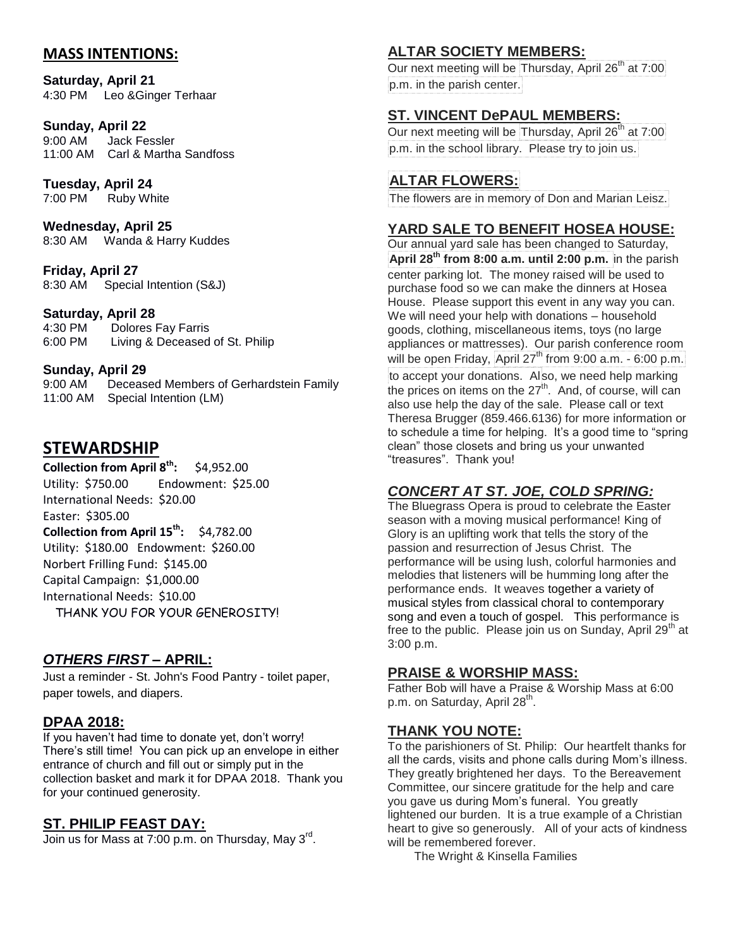### **MASS INTENTIONS:**

**Saturday, April 21** 4:30 PM Leo &Ginger Terhaar

# **Sunday, April 22**

Jack Fessler 11:00 AM Carl & Martha Sandfoss

**Tuesday, April 24**

7:00 PM Ruby White

**Wednesday, April 25** 8:30 AM Wanda & Harry Kuddes

**Friday, April 27** 8:30 AM Special Intention (S&J)

#### **Saturday, April 28**

4:30 PM Dolores Fay Farris 6:00 PM Living & Deceased of St. Philip

#### **Sunday, April 29**

9:00 AM Deceased Members of Gerhardstein Family 11:00 AM Special Intention (LM)

## **STEWARDSHIP**

**Collection from April 8th:** \$4,952.00 Utility: \$750.00 Endowment: \$25.00 International Needs: \$20.00 Easter: \$305.00 **Collection from April 15th:** \$4,782.00 Utility: \$180.00 Endowment: \$260.00 Norbert Frilling Fund: \$145.00 Capital Campaign: \$1,000.00 International Needs: \$10.00 THANK YOU FOR YOUR GENEROSITY!

#### *OTHERS FIRST –* **APRIL:**

Just a reminder - St. John's Food Pantry - toilet paper, paper towels, and diapers.

#### **DPAA 2018:**

If you haven't had time to donate yet, don't worry! There's still time! You can pick up an envelope in either entrance of church and fill out or simply put in the collection basket and mark it for DPAA 2018. Thank you for your continued generosity.

#### **ST. PHILIP FEAST DAY:**

Join us for Mass at 7:00 p.m. on Thursday, May 3<sup>rd</sup>.

### **ALTAR SOCIETY MEMBERS:**

Our next meeting will be Thursday, April 26<sup>th</sup> at 7:00 p.m. in the parish center.

#### **ST. VINCENT DePAUL MEMBERS:**

Our next meeting will be Thursday, April 26<sup>th</sup> at 7:00 p.m. in the school library. Please try to join us.

## **ALTAR FLOWERS:**

The flowers are in memory of Don and Marian Leisz.

#### **YARD SALE TO BENEFIT HOSEA HOUSE:**

Our annual yard sale has been changed to Saturday, **April 28th from 8:00 a.m. until 2:00 p.m.** in the parish center parking lot. The money raised will be used to purchase food so we can make the dinners at Hosea House. Please support this event in any way you can. We will need your help with donations – household goods, clothing, miscellaneous items, toys (no large appliances or mattresses). Our parish conference room will be open Friday, April  $27<sup>th</sup>$  from 9:00 a.m. - 6:00 p.m. to accept your donations. Also, we need help marking the prices on items on the  $27<sup>th</sup>$ . And, of course, will can also use help the day of the sale. Please call or text Theresa Brugger (859.466.6136) for more information or to schedule a time for helping. It's a good time to "spring clean" those closets and bring us your unwanted "treasures". Thank you!

## *CONCERT AT ST. JOE, COLD SPRING:*

The Bluegrass Opera is proud to celebrate the Easter season with a moving musical performance! King of Glory is an uplifting work that tells the story of the passion and resurrection of Jesus Christ. The performance will be using lush, colorful harmonies and melodies that listeners will be humming long after the performance ends. It weaves together a variety of musical styles from classical choral to contemporary song and even a touch of gospel. This performance is free to the public. Please join us on Sunday, April  $29<sup>th</sup>$  at 3:00 p.m.

#### **PRAISE & WORSHIP MASS:**

Father Bob will have a Praise & Worship Mass at 6:00 p.m. on Saturday, April 28<sup>th</sup>.

#### **THANK YOU NOTE:**

To the parishioners of St. Philip: Our heartfelt thanks for all the cards, visits and phone calls during Mom's illness. They greatly brightened her days. To the Bereavement Committee, our sincere gratitude for the help and care you gave us during Mom's funeral. You greatly lightened our burden. It is a true example of a Christian heart to give so generously. All of your acts of kindness will be remembered forever.

The Wright & Kinsella Families